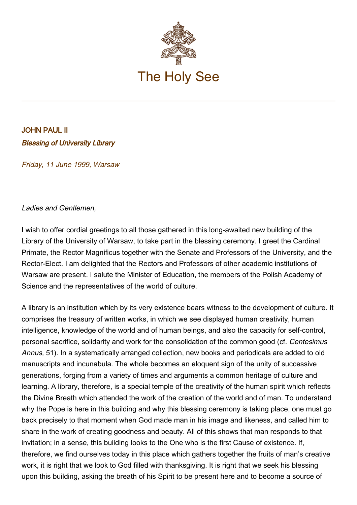

## JOHN PAUL II Blessing of University Library

Friday, 11 June 1999, Warsaw

## Ladies and Gentlemen,

I wish to offer cordial greetings to all those gathered in this long-awaited new building of the Library of the University of Warsaw, to take part in the blessing ceremony. I greet the Cardinal Primate, the Rector Magnificus together with the Senate and Professors of the University, and the Rector-Elect. I am delighted that the Rectors and Professors of other academic institutions of Warsaw are present. I salute the Minister of Education, the members of the Polish Academy of Science and the representatives of the world of culture.

A library is an institution which by its very existence bears witness to the development of culture. It comprises the treasury of written works, in which we see displayed human creativity, human intelligence, knowledge of the world and of human beings, and also the capacity for self-control, personal sacrifice, solidarity and work for the consolidation of the common good (cf. Centesimus Annus, 51). In a systematically arranged collection, new books and periodicals are added to old manuscripts and incunabula. The whole becomes an eloquent sign of the unity of successive generations, forging from a variety of times and arguments a common heritage of culture and learning. A library, therefore, is a special temple of the creativity of the human spirit which reflects the Divine Breath which attended the work of the creation of the world and of man. To understand why the Pope is here in this building and why this blessing ceremony is taking place, one must go back precisely to that moment when God made man in his image and likeness, and called him to share in the work of creating goodness and beauty. All of this shows that man responds to that invitation; in a sense, this building looks to the One who is the first Cause of existence. If, therefore, we find ourselves today in this place which gathers together the fruits of man's creative work, it is right that we look to God filled with thanksgiving. It is right that we seek his blessing upon this building, asking the breath of his Spirit to be present here and to become a source of